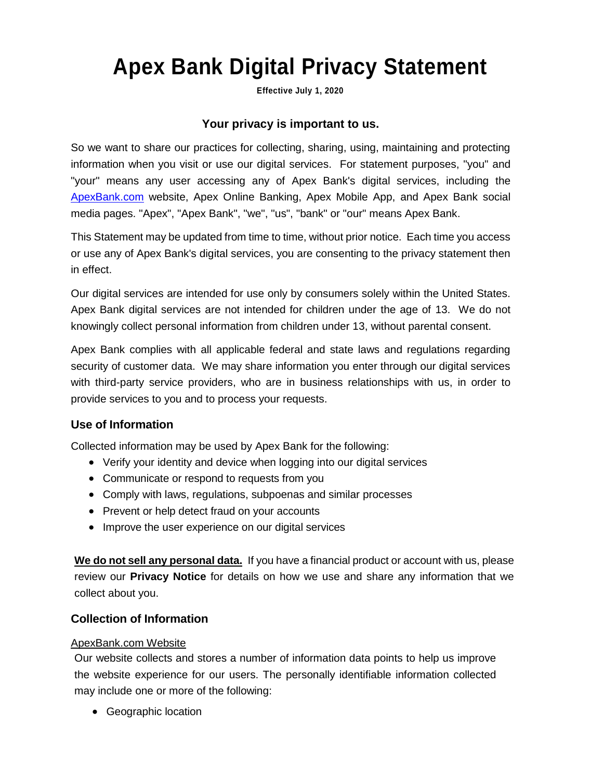# **Apex Bank Digital Privacy Statement**

**Effective July 1, 2020**

# **Your privacy is important to us.**

So we want to share our practices for collecting, sharing, using, maintaining and protecting information when you visit or use our digital services. For statement purposes, "you" and "your" means any user accessing any of Apex Bank's digital services, including the [ApexBank.com](http://apexbank.com/) website, Apex Online Banking, Apex Mobile App, and Apex Bank social media pages. "Apex", "Apex Bank", "we", "us", "bank" or "our" means Apex Bank.

This Statement may be updated from time to time, without prior notice. Each time you access or use any of Apex Bank's digital services, you are consenting to the privacy statement then in effect.

Our digital services are intended for use only by consumers solely within the United States. Apex Bank digital services are not intended for children under the age of 13. We do not knowingly collect personal information from children under 13, without parental consent.

Apex Bank complies with all applicable federal and state laws and regulations regarding security of customer data. We may share information you enter through our digital services with third-party service providers, who are in business relationships with us, in order to provide services to you and to process your requests.

# **Use of Information**

Collected information may be used by Apex Bank for the following:

- Verify your identity and device when logging into our digital services
- Communicate or respond to requests from you
- Comply with laws, regulations, subpoenas and similar processes
- Prevent or help detect fraud on your accounts
- Improve the user experience on our digital services

**We do not sell any personal data.** If you have a financial product or account with us, please review our **Privacy Notice** for details on how we use and share any information that we collect about you.

# **Collection of Information**

#### ApexBank.com Website

Our website collects and stores a number of information data points to help us improve the website experience for our users. The personally identifiable information collected may include one or more of the following:

• Geographic location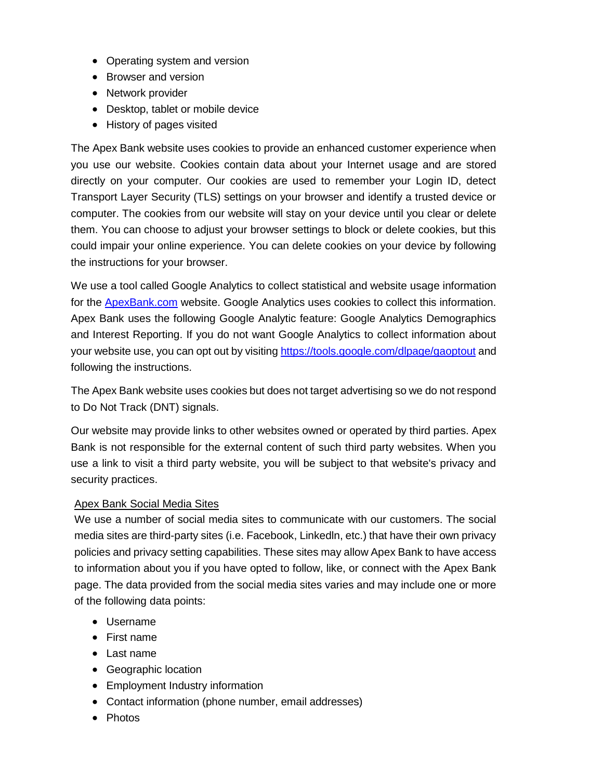- Operating system and version
- Browser and version
- Network provider
- Desktop, tablet or mobile device
- History of pages visited

The Apex Bank website uses cookies to provide an enhanced customer experience when you use our website. Cookies contain data about your Internet usage and are stored directly on your computer. Our cookies are used to remember your Login ID, detect Transport Layer Security (TLS) settings on your browser and identify a trusted device or computer. The cookies from our website will stay on your device until you clear or delete them. You can choose to adjust your browser settings to block or delete cookies, but this could impair your online experience. You can delete cookies on your device by following the instructions for your browser.

We use a tool called Google Analytics to collect statistical and website usage information for the **ApexBank.com** website. Google Analytics uses cookies to collect this information. Apex Bank uses the following Google Analytic feature: Google Analytics Demographics and Interest Reporting. If you do not want Google Analytics to collect information about your website use, you can opt out by visiting<https://tools.google.com/dlpage/gaoptout> and following the instructions.

The Apex Bank website uses cookies but does not target advertising so we do not respond to Do Not Track (DNT) signals.

Our website may provide links to other websites owned or operated by third parties. Apex Bank is not responsible for the external content of such third party websites. When you use a link to visit a third party website, you will be subject to that website's privacy and security practices.

#### Apex Bank Social Media Sites

We use a number of social media sites to communicate with our customers. The social media sites are third-party sites (i.e. Facebook, Linkedln, etc.) that have their own privacy policies and privacy setting capabilities. These sites may allow Apex Bank to have access to information about you if you have opted to follow, like, or connect with the Apex Bank page. The data provided from the social media sites varies and may include one or more of the following data points:

- Username
- First name
- Last name
- Geographic location
- Employment Industry information
- Contact information (phone number, email addresses)
- Photos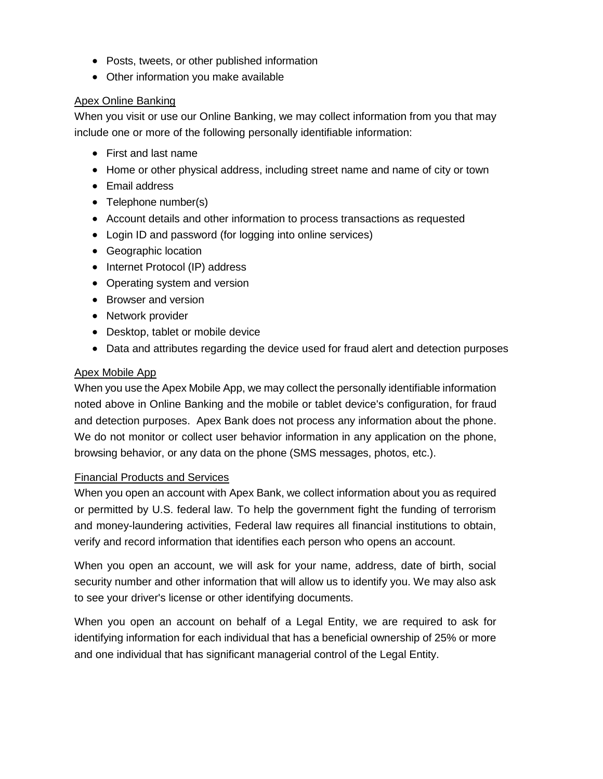- Posts, tweets, or other published information
- Other information you make available

#### Apex Online Banking

When you visit or use our Online Banking, we may collect information from you that may include one or more of the following personally identifiable information:

- First and last name
- Home or other physical address, including street name and name of city or town
- Email address
- Telephone number(s)
- Account details and other information to process transactions as requested
- Login ID and password (for logging into online services)
- Geographic location
- Internet Protocol (IP) address
- Operating system and version
- Browser and version
- Network provider
- Desktop, tablet or mobile device
- Data and attributes regarding the device used for fraud alert and detection purposes

#### Apex Mobile App

When you use the Apex Mobile App, we may collect the personally identifiable information noted above in Online Banking and the mobile or tablet device's configuration, for fraud and detection purposes. Apex Bank does not process any information about the phone. We do not monitor or collect user behavior information in any application on the phone, browsing behavior, or any data on the phone (SMS messages, photos, etc.).

#### Financial Products and Services

When you open an account with Apex Bank, we collect information about you as required or permitted by U.S. federal law. To help the government fight the funding of terrorism and money-laundering activities, Federal law requires all financial institutions to obtain, verify and record information that identifies each person who opens an account.

When you open an account, we will ask for your name, address, date of birth, social security number and other information that will allow us to identify you. We may also ask to see your driver's license or other identifying documents.

When you open an account on behalf of a Legal Entity, we are required to ask for identifying information for each individual that has a beneficial ownership of 25% or more and one individual that has significant managerial control of the Legal Entity.